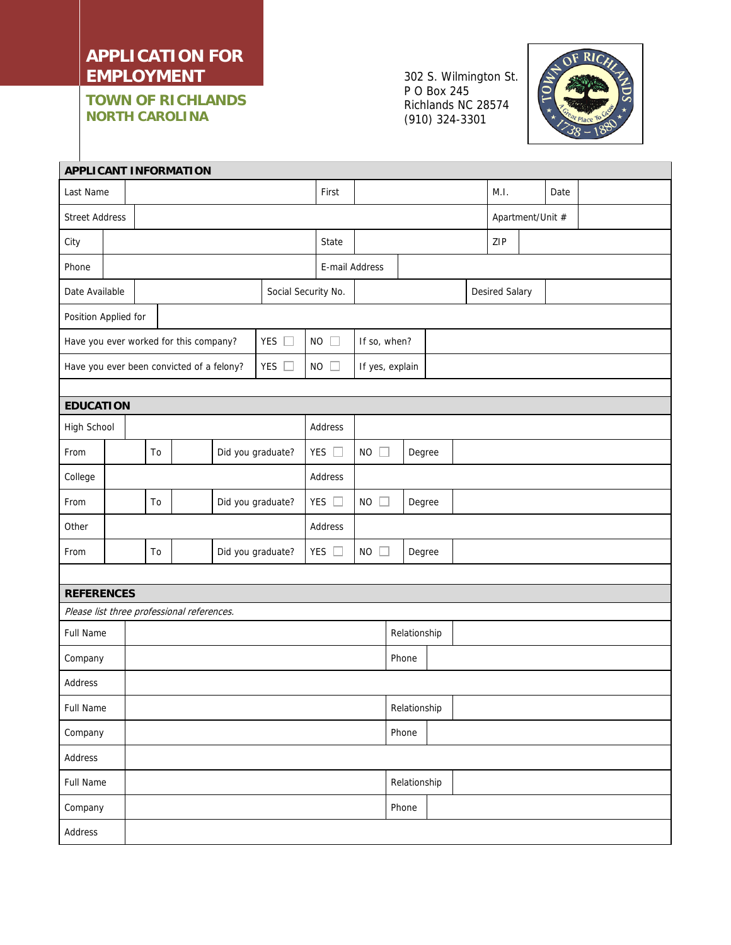## **APPLICATION FOR EMPLOYMENT**

**TOWN OF RICHLANDS NORTH CAROLINA** 

302 S. Wilmington St. P O Box 245 Richlands NC 28574 (910) 324-3301



| <b>APPLICANT INFORMATION</b>                            |  |  |    |                   |  |                     |               |                 |                |              |                  |      |                |      |  |  |  |
|---------------------------------------------------------|--|--|----|-------------------|--|---------------------|---------------|-----------------|----------------|--------------|------------------|------|----------------|------|--|--|--|
| Last Name                                               |  |  |    |                   |  |                     | First         |                 |                |              |                  | M.I. |                | Date |  |  |  |
| <b>Street Address</b>                                   |  |  |    |                   |  |                     |               |                 |                |              | Apartment/Unit # |      |                |      |  |  |  |
| City                                                    |  |  |    |                   |  |                     |               | State           |                |              |                  |      | ZIP            |      |  |  |  |
| Phone                                                   |  |  |    |                   |  |                     |               | E-mail Address  |                |              |                  |      |                |      |  |  |  |
| Date Available                                          |  |  |    |                   |  | Social Security No. |               |                 |                |              |                  |      | Desired Salary |      |  |  |  |
| Position Applied for                                    |  |  |    |                   |  |                     |               |                 |                |              |                  |      |                |      |  |  |  |
| YES $\square$<br>Have you ever worked for this company? |  |  |    |                   |  |                     |               | $NO$ $\Box$     | If so, when?   |              |                  |      |                |      |  |  |  |
| YES $\Box$<br>Have you ever been convicted of a felony? |  |  |    |                   |  |                     | $NO$ $\Box$   | If yes, explain |                |              |                  |      |                |      |  |  |  |
|                                                         |  |  |    |                   |  |                     |               |                 |                |              |                  |      |                |      |  |  |  |
| <b>EDUCATION</b>                                        |  |  |    |                   |  |                     |               |                 |                |              |                  |      |                |      |  |  |  |
| High School                                             |  |  |    |                   |  |                     |               | Address         |                |              |                  |      |                |      |  |  |  |
| From                                                    |  |  | To |                   |  | Did you graduate?   |               | YES $\square$   | $NO$ $\Box$    |              | Degree           |      |                |      |  |  |  |
| College                                                 |  |  |    |                   |  |                     |               | Address         |                |              |                  |      |                |      |  |  |  |
| From                                                    |  |  | To | Did you graduate? |  |                     |               | YES $\square$   | $NO$ $\square$ |              | Degree           |      |                |      |  |  |  |
| Other                                                   |  |  |    |                   |  |                     | Address       |                 |                |              |                  |      |                |      |  |  |  |
| From                                                    |  |  | To |                   |  | Did you graduate?   | YES $\square$ |                 | $NO$ $\Box$    |              | Degree           |      |                |      |  |  |  |
|                                                         |  |  |    |                   |  |                     |               |                 |                |              |                  |      |                |      |  |  |  |
| <b>REFERENCES</b>                                       |  |  |    |                   |  |                     |               |                 |                |              |                  |      |                |      |  |  |  |
| Please list three professional references.              |  |  |    |                   |  |                     |               |                 |                |              |                  |      |                |      |  |  |  |
| Full Name                                               |  |  |    |                   |  |                     |               |                 | Relationship   |              |                  |      |                |      |  |  |  |
| Company                                                 |  |  |    |                   |  |                     |               |                 |                | Phone        |                  |      |                |      |  |  |  |
| Address                                                 |  |  |    |                   |  |                     |               |                 |                |              |                  |      |                |      |  |  |  |
| Full Name                                               |  |  |    |                   |  |                     |               | Relationship    |                |              |                  |      |                |      |  |  |  |
| Company                                                 |  |  |    |                   |  |                     |               |                 |                |              |                  |      |                |      |  |  |  |
| Address                                                 |  |  |    |                   |  |                     |               |                 |                |              |                  |      |                |      |  |  |  |
| Full Name                                               |  |  |    |                   |  |                     |               |                 |                | Relationship |                  |      |                |      |  |  |  |
| Company                                                 |  |  |    |                   |  |                     |               |                 |                | Phone        |                  |      |                |      |  |  |  |
| Address                                                 |  |  |    |                   |  |                     |               |                 |                |              |                  |      |                |      |  |  |  |